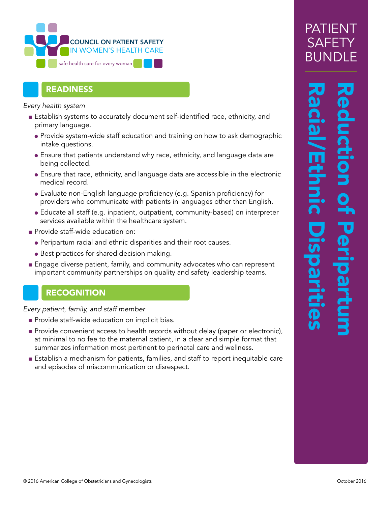

### READINESS

*Every health system*

- Establish systems to accurately document self-identified race, ethnicity, and primary language.
	- Provide system-wide staff education and training on how to ask demographic intake questions.
	- Ensure that patients understand why race, ethnicity, and language data are being collected.
	- Ensure that race, ethnicity, and language data are accessible in the electronic medical record.
	- Evaluate non-English language proficiency (e.g. Spanish proficiency) for providers who communicate with patients in languages other than English.
	- Educate all staff (e.g. inpatient, outpatient, community-based) on interpreter services available within the healthcare system.
- Provide staff-wide education on:
	- Peripartum racial and ethnic disparities and their root causes.
	- Best practices for shared decision making.
- Engage diverse patient, family, and community advocates who can represent important community partnerships on quality and safety leadership teams.

### **RECOGNITION**

*Every patient, family, and staff member*

- Provide staff-wide education on implicit bias.
- Provide convenient access to health records without delay (paper or electronic), at minimal to no fee to the maternal patient, in a clear and simple format that summarizes information most pertinent to perinatal care and wellness.
- Establish a mechanism for patients, families, and staff to report inequitable care and episodes of miscommunication or disrespect.

# Racial/Ethnic Disparities Reduction of Peripartum